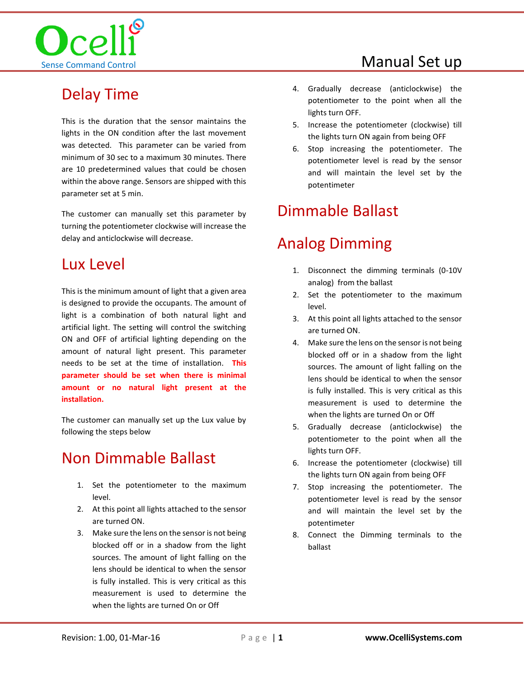

#### Manual Set up

# Delay Time

This is the duration that the sensor maintains the lights in the ON condition after the last movement was detected. This parameter can be varied from minimum of 30 sec to a maximum 30 minutes. There are 10 predetermined values that could be chosen within the above range. Sensors are shipped with this parameter set at 5 min.

The customer can manually set this parameter by turning the potentiometer clockwise will increase the delay and anticlockwise will decrease.

#### Lux Level

This is the minimum amount of light that a given area is designed to provide the occupants. The amount of light is a combination of both natural light and artificial light. The setting will control the switching ON and OFF of artificial lighting depending on the amount of natural light present. This parameter needs to be set at the time of installation. **This parameter should be set when there is minimal amount or no natural light present at the installation.**

The customer can manually set up the Lux value by following the steps below

#### Non Dimmable Ballast

- 1. Set the potentiometer to the maximum level.
- 2. At this point all lights attached to the sensor are turned ON.
- 3. Make sure the lens on the sensor is not being blocked off or in a shadow from the light sources. The amount of light falling on the lens should be identical to when the sensor is fully installed. This is very critical as this measurement is used to determine the when the lights are turned On or Off
- 4. Gradually decrease (anticlockwise) the potentiometer to the point when all the lights turn OFF.
- 5. Increase the potentiometer (clockwise) till the lights turn ON again from being OFF
- 6. Stop increasing the potentiometer. The potentiometer level is read by the sensor and will maintain the level set by the potentimeter

# Dimmable Ballast

# Analog Dimming

- 1. Disconnect the dimming terminals (0-10V analog) from the ballast
- 2. Set the potentiometer to the maximum level.
- 3. At this point all lights attached to the sensor are turned ON.
- 4. Make sure the lens on the sensor is not being blocked off or in a shadow from the light sources. The amount of light falling on the lens should be identical to when the sensor is fully installed. This is very critical as this measurement is used to determine the when the lights are turned On or Off
- 5. Gradually decrease (anticlockwise) the potentiometer to the point when all the lights turn OFF.
- 6. Increase the potentiometer (clockwise) till the lights turn ON again from being OFF
- 7. Stop increasing the potentiometer. The potentiometer level is read by the sensor and will maintain the level set by the potentimeter
- 8. Connect the Dimming terminals to the ballast